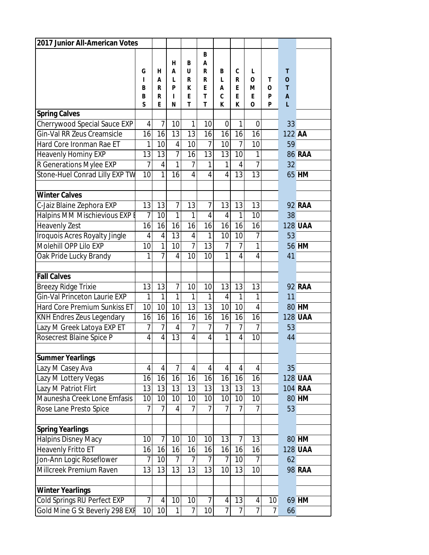| 2017 Junior All-American Votes      |                |                 |                |                 |                |                   |                |                |                |                  |                |
|-------------------------------------|----------------|-----------------|----------------|-----------------|----------------|-------------------|----------------|----------------|----------------|------------------|----------------|
|                                     |                |                 |                |                 | B              |                   |                |                |                |                  |                |
|                                     |                |                 | н              | B               | Α              |                   |                |                |                |                  |                |
|                                     | G              | н               | A              | U               | R              | B                 | C              | L              |                | Т                |                |
|                                     | T<br>B         | А<br>R          | L<br>P         | R<br>ĸ          | R<br>E         | $\mathsf{L}$<br>A | R<br>E         | $\Omega$<br>м  | т<br>0         | $\mathbf 0$<br>T |                |
|                                     | B              | R               | Т              | F               | T              | $\mathbf c$       | F              | F              | P              | A                |                |
|                                     | S              | E               | N              | T               | T              | K                 | ĸ              | 0              | P              | L                |                |
| <b>Spring Calves</b>                |                |                 |                |                 |                |                   |                |                |                |                  |                |
| Cherrywood Special Sauce EXP        | $\overline{4}$ | $\overline{7}$  | 10             | 1               | 10             | $\mathbf 0$       | 1              | 0              |                | 33               |                |
| Gin-Val RR Zeus Creamsicle          | 16             | 16              | 13             | 13              | 16             | 16                | 16             | 16             |                | 122 AA           |                |
| Hard Core Ironman Rae ET            | 1              | 10              | $\overline{4}$ | 10              | $\overline{7}$ | 10                | $\overline{7}$ | 10             |                | 59               |                |
| <b>Heavenly Hominy EXP</b>          | 13             | 13              | $\overline{7}$ | 16              | 13             | 13                | 10             | 1              |                |                  | <b>86 RAA</b>  |
| R Generations Mylee EXP             | $\overline{7}$ | 4               | $\mathbf{1}$   | $\overline{7}$  | $\mathbf{1}$   | $\mathbf{1}$      | 4              | 7              |                | 32               |                |
| Stone-Huel Conrad Lilly EXP TW      | 10             | $\mathbf{1}$    | 16             | $\overline{4}$  | $\overline{4}$ | $\overline{4}$    | 13             | 13             |                |                  | 65 HM          |
|                                     |                |                 |                |                 |                |                   |                |                |                |                  |                |
| <b>Winter Calves</b>                |                |                 |                |                 |                |                   |                |                |                |                  |                |
| C-Jaiz Blaine Zephora EXP           | 13             | 13              | $\overline{7}$ | 13              | $\overline{7}$ | 13                | 13             | 13             |                |                  | <b>92 RAA</b>  |
| Halpins MM Mischievious EXP E       | 7              | 10              | $\mathbf{1}$   | $\mathbf{1}$    | $\overline{4}$ | 4                 | 1              | 10             |                | 38               |                |
| <b>Heavenly Zest</b>                | 16             | 16              | 16             | 16              | 16             | 16                | 16             | 16             |                |                  | <b>128 UAA</b> |
| Iroquois Acres Royalty Jingle       | $\overline{4}$ | 4               | 13             | $\sqrt{4}$      | $\mathbf{1}$   | 10                | 10             | 7              |                | 53               |                |
| Molehill OPP Lilo EXP               | 10             | $\mathbf{1}$    | 10             | $\overline{7}$  | 13             | $\overline{7}$    | $\overline{7}$ | $\mathbf{1}$   |                |                  | <b>56 HM</b>   |
| Oak Pride Lucky Brandy              | 1              | $\overline{7}$  | $\overline{4}$ | 10              | 10             | $\mathbf{1}$      | $\overline{4}$ | $\overline{4}$ |                | 41               |                |
|                                     |                |                 |                |                 |                |                   |                |                |                |                  |                |
| <b>Fall Calves</b>                  |                |                 |                |                 |                |                   |                |                |                |                  |                |
| Breezy Ridge Trixie                 | 13             | 13              | 7              | 10              | 10             | 13                | 13             | 13             |                |                  | <b>92 RAA</b>  |
| Gin-Val Princeton Laurie EXP        | 1              | $\mathbf{1}$    | $\mathbf{1}$   | 1               | 1              | $\overline{4}$    | $\mathbf{1}$   | 1              |                | 11               |                |
| <b>Hard Core Premium Sunkiss ET</b> | 10             | 10              | 10             | $\overline{13}$ | 13             | 10                | 10             | $\overline{4}$ |                |                  | 80 HM          |
| <b>KNH Endres Zeus Legendary</b>    | 16             | 16              | 16             | 16              | 16             | 16                | 16             | 16             |                |                  | <b>128 UAA</b> |
| Lazy M Greek Latoya EXP ET          | $\overline{7}$ | $\overline{7}$  | $\overline{4}$ | $\overline{7}$  | $\overline{1}$ | $\overline{7}$    | $\overline{7}$ | 7              |                | 53               |                |
| Rosecrest Blaine Spice P            | $\overline{4}$ | $\overline{4}$  | 13             | $\overline{4}$  | $\overline{4}$ | $\mathbf{1}$      | $\overline{4}$ | 10             |                | 44               |                |
|                                     |                |                 |                |                 |                |                   |                |                |                |                  |                |
| <b>Summer Yearlings</b>             |                |                 |                |                 |                |                   |                |                |                |                  |                |
| Lazy M Casey Ava                    | $\overline{4}$ | $\overline{4}$  | $\overline{7}$ | $\overline{4}$  | $\overline{4}$ | $\overline{4}$    | 4              | $\overline{4}$ |                | 35               |                |
| Lazy M Lottery Vegas                | 16             | 16              | 16             | 16              | 16             | 16                | 16             | 16             |                |                  | <b>128 UAA</b> |
| Lazy M Patriot Flirt                | 13             | 13              | 13             | 13              | 13             | 13                | 13             | 13             |                |                  | <b>104 RAA</b> |
| Maunesha Creek Lone Emfasis         | 10             | 10 <sup>1</sup> | 10             | 10              | 10             | 10                | 10             | 10             |                |                  | 80 HM          |
| Rose Lane Presto Spice              | 7              | $\overline{7}$  | $\overline{4}$ | $\overline{7}$  | $\overline{1}$ | $\overline{7}$    | $\overline{7}$ | $\overline{7}$ |                | 53               |                |
| <b>Spring Yearlings</b>             |                |                 |                |                 |                |                   |                |                |                |                  |                |
| <b>Halpins Disney Macy</b>          | 10             | $\overline{7}$  | 10             | 10              | 10             | 13                | $\overline{7}$ | 13             |                |                  | 80 HM          |
| <b>Heavenly Fritto ET</b>           | 16             | 16              | 16             | 16              | 16             | 16                | 16             | 16             |                |                  | <b>128 UAA</b> |
| Jon-Ann Logic Roseflower            | 7              | 10              | $\overline{7}$ | $\overline{7}$  | $\overline{7}$ | 7                 | 10             | 7              |                | 62               |                |
| Millcreek Premium Raven             | 13             | 13              | 13             | $\overline{13}$ | 13             | 10                | 13             | 10             |                |                  | <b>98 RAA</b>  |
|                                     |                |                 |                |                 |                |                   |                |                |                |                  |                |
| Winter Yearlings                    |                |                 |                |                 |                |                   |                |                |                |                  |                |
| Cold Springs RU Perfect EXP         | $\overline{7}$ | $\vert 4 \vert$ | 10             | 10              | $\overline{7}$ | $\overline{4}$    | 13             | $\overline{4}$ | 10             |                  | 69 HM          |
| Gold Mine G St Beverly 298 EXF      | 10             | 10 <sup>1</sup> | $\mathbf{1}$   | $\overline{7}$  | 10             | $\overline{7}$    | $\overline{7}$ | $\overline{1}$ | $\overline{7}$ | 66               |                |
|                                     |                |                 |                |                 |                |                   |                |                |                |                  |                |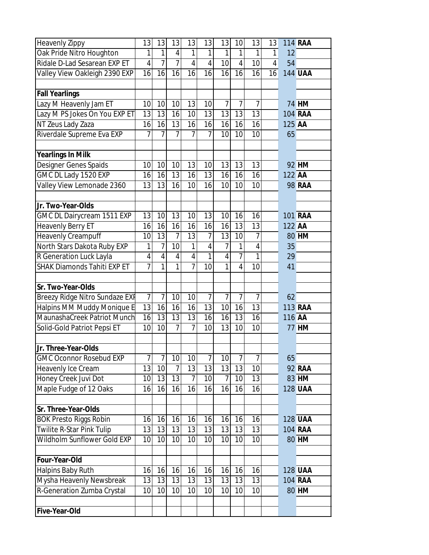| Heavenly Zippy                     | 13             | 13             | 13             | 13             | 13             | 13             | 10             | 13             | 13             |        | <b>114 RAA</b> |
|------------------------------------|----------------|----------------|----------------|----------------|----------------|----------------|----------------|----------------|----------------|--------|----------------|
| Oak Pride Nitro Houghton           | 1              | 1              | $\overline{4}$ | 1              | 1              | 1              | 1              | 1              | 1              | 12     |                |
| Ridale D-Lad Sesarean EXP ET       | $\overline{4}$ | $\overline{7}$ | 7              | $\overline{4}$ | $\overline{4}$ | 10             | $\overline{4}$ | 10             | $\overline{4}$ | 54     |                |
| Valley View Oakleigh 2390 EXP      | 16             | 16             | 16             | 16             | 16             | 16             | 16             | 16             | 16             |        | <b>144 UAA</b> |
|                                    |                |                |                |                |                |                |                |                |                |        |                |
| <b>Fall Yearlings</b>              |                |                |                |                |                |                |                |                |                |        |                |
| Lazy M Heavenly Jam ET             | 10             | 10             | 10             | 13             | 10             | $\overline{7}$ | $\overline{7}$ | $\overline{7}$ |                |        | <b>74 HM</b>   |
| Lazy M PS Jokes On You EXP ET      | 13             | 13             | 16             | 10             | 13             | 13             | 13             | 13             |                |        | 104 RAA        |
| NT Zeus Lady Zaza                  | 16             | 16             | 13             | 16             | 16             | 16             | 16             | 16             |                | 125 AA |                |
| Riverdale Supreme Eva EXP          | 7              | 7              | 7              | 7              | $\overline{7}$ | 10             | 10             | 10             |                | 65     |                |
|                                    |                |                |                |                |                |                |                |                |                |        |                |
| <b>Yearlings In Milk</b>           |                |                |                |                |                |                |                |                |                |        |                |
| Designer Genes Spaids              | 10             | 10             | 10             | 13             | 10             | 13             | 13             | 13             |                |        | 92 HM          |
| GMC DL Lady 1520 EXP               | 16             | 16             | 13             | 16             | 13             | 16             | 16             | 16             |                | 122 AA |                |
| Valley View Lemonade 2360          | 13             | 13             | 16             | 10             | 16             | 10             | 10             | 10             |                |        | <b>98 RAA</b>  |
|                                    |                |                |                |                |                |                |                |                |                |        |                |
| Jr. Two-Year-Olds                  |                |                |                |                |                |                |                |                |                |        |                |
| GMC DL Dairycream 1511 EXP         | 13             | 10             | 13             | 10             | 13             | 10             | 16             | 16             |                |        | <b>101 RAA</b> |
| Heavenly Berry ET                  | 16             | 16             | 16             | 16             | 16             | 16             | 13             | 13             |                | 122 AA |                |
| <b>Heavenly Creampuff</b>          | 10             | 13             | $\overline{7}$ | 13             | 7              | 13             | 10             | 7              |                |        | 80 HM          |
| North Stars Dakota Ruby EXP        | 1              | $\overline{7}$ | 10             | 1              | $\overline{4}$ | $\overline{1}$ | $\mathbf{1}$   | 4              |                | 35     |                |
| R Generation Luck Layla            | $\sqrt{4}$     | 4              | 4              | $\overline{4}$ | 1              | $\overline{4}$ | $\overline{7}$ | $\mathbf{1}$   |                | 29     |                |
| <b>SHAK Diamonds Tahiti EXP ET</b> | $\overline{7}$ | $\overline{1}$ | $\overline{1}$ | $\overline{7}$ | 10             | $\mathbf{1}$   | $\overline{4}$ | 10             |                | 41     |                |
|                                    |                |                |                |                |                |                |                |                |                |        |                |
| Sr. Two-Year-Olds                  |                |                |                |                |                |                |                |                |                |        |                |
| Breezy Ridge Nitro Sundaze EXF     | $\overline{7}$ | $\overline{7}$ | 10             | 10             | $\overline{7}$ | $\overline{1}$ | $\overline{7}$ | $\overline{1}$ |                | 62     |                |
| Halpins MM Muddy Monique E         | 13             | 16             | 16             | 16             | 13             | 10             | 16             | 13             |                |        | <b>113 RAA</b> |
| MaunashaCreek Patriot Munch        | 16             | 13             | 13             | 13             | 16             | 16             | 13             | 16             |                | 116 AA |                |
| Solid-Gold Patriot Pepsi ET        | 10             | 10             | 7              | 7              | 10             | 13             | 10             | 10             |                |        | <b>77 HM</b>   |
| Jr. Three-Year-Olds                |                |                |                |                |                |                |                |                |                |        |                |
| <b>GMC Oconnor Rosebud EXP</b>     | $\overline{7}$ | $\overline{1}$ | 10             | 10             | $\overline{1}$ | 10             | $\overline{7}$ | $\overline{7}$ |                | 65     |                |
| Heavenly Ice Cream                 | 13             | 10             | $\overline{1}$ | 13             | 13             | 13             | 13             | 10             |                |        | <b>92 RAA</b>  |
| Honey Creek Juvi Dot               | 10             | 13             | 13             | 7              | 10             | 7              | 10             | 13             |                |        | 83 HM          |
| Maple Fudge of 12 Oaks             | 16             | 16             | 16             | 16             | 16             | 16             | 16             | 16             |                |        | <b>128 UAA</b> |
|                                    |                |                |                |                |                |                |                |                |                |        |                |
| Sr. Three-Year-Olds                |                |                |                |                |                |                |                |                |                |        |                |
| <b>BOK Presto Riggs Robin</b>      | 16             | 16             | 16             | 16             | 16             | 16             | 16             | 16             |                |        | <b>128 UAA</b> |
| Twilite R-Star Pink Tulip          | 13             | 13             | 13             | 13             | 13             | 13             | 13             | 13             |                |        | <b>104 RAA</b> |
| Wildholm Sunflower Gold EXP        | 10             | 10             | 10             | 10             | 10             | 10             | 10             | 10             |                |        | 80 HM          |
|                                    |                |                |                |                |                |                |                |                |                |        |                |
| Four-Year-Old                      |                |                |                |                |                |                |                |                |                |        |                |
| Halpins Baby Ruth                  | 16             | 16             | 16             | 16             | 16             | 16             | 16             | 16             |                |        | <b>128 UAA</b> |
| Mysha Heavenly Newsbreak           | 13             | 13             | 13             | 13             | 13             | 13             | 13             | 13             |                |        | <b>104 RAA</b> |
| R-Generation Zumba Crystal         | 10             | 10             | 10             | 10             | 10             | 10             | 10             | 10             |                |        | 80 HM          |
|                                    |                |                |                |                |                |                |                |                |                |        |                |
| Five-Year-Old                      |                |                |                |                |                |                |                |                |                |        |                |